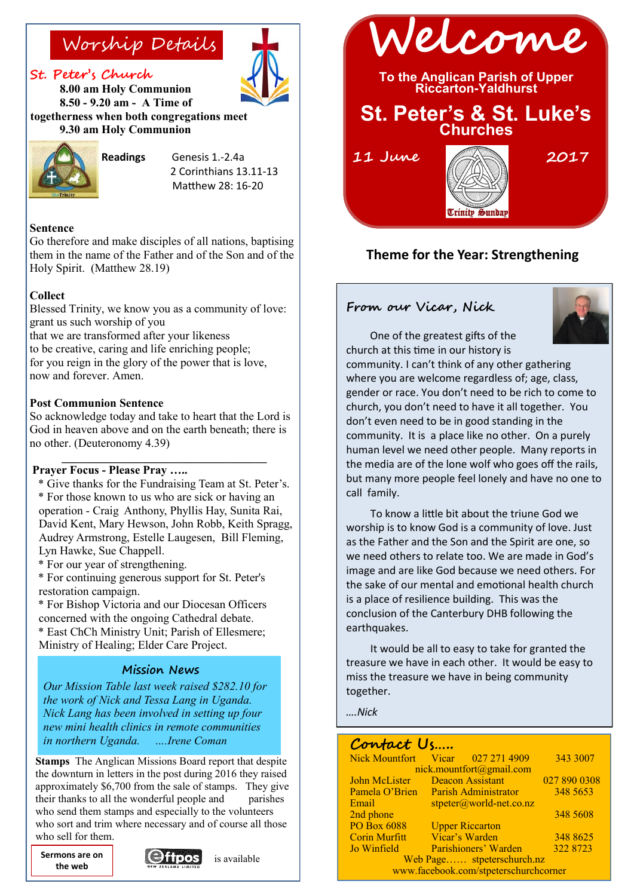#### **St. Peter's Church**

**8.00 am Holy Communion 8.50 - 9.20 am - A Time of togetherness when both congregations meet 9.30 am Holy Communion**



**Readings** Genesis 1.-2.4a 2 Corinthians 13.11-13 Matthew 28: 16-20

#### **Sentence**

Go therefore and make disciples of all nations, baptising them in the name of the Father and of the Son and of the Holy Spirit. (Matthew 28.19)

#### **Collect**

Blessed Trinity, we know you as a community of love: grant us such worship of you that we are transformed after your likeness to be creative, caring and life enriching people; for you reign in the glory of the power that is love, now and forever. Amen.

#### **Post Communion Sentence**

So acknowledge today and take to heart that the Lord is God in heaven above and on the earth beneath; there is no other. (Deuteronomy 4.39)

**\_\_\_\_\_\_\_\_\_\_\_\_\_\_\_\_\_\_\_\_\_\_\_\_\_\_\_\_\_\_\_\_\_\_\_**

#### **Prayer Focus - Please Pray …..**

- \* Give thanks for the Fundraising Team at St. Peter's. \* For those known to us who are sick or having an operation - Craig Anthony, Phyllis Hay, Sunita Rai, David Kent, Mary Hewson, John Robb, Keith Spragg, Audrey Armstrong, Estelle Laugesen, Bill Fleming, Lyn Hawke, Sue Chappell.
- \* For our year of strengthening.
- \* For continuing generous support for St. Peter's restoration campaign.

\* For Bishop Victoria and our Diocesan Officers concerned with the ongoing Cathedral debate.

\* East ChCh Ministry Unit; Parish of Ellesmere; Ministry of Healing; Elder Care Project.

#### **Mission News**

*Our Mission Table last week raised \$282.10 for the work of Nick and Tessa Lang in Uganda. Nick Lang has been involved in setting up four new mini health clinics in remote communities in northern Uganda. ….Irene Coman* 

**Stamps** The Anglican Missions Board report that despite the downturn in letters in the post during 2016 they raised approximately \$6,700 from the sale of stamps. They give their thanks to all the wonderful people and parishes who send them stamps and especially to the volunteers who sort and trim where necessary and of course all those who sell for them.

**Sermons are on** <br>**Cellibrary** is available **the web**







### **Theme for the Year: Strengthening**

#### **From our Vicar, Nick**

One of the greatest gifts of the



church at this time in our history is community. I can't think of any other gathering where you are welcome regardless of; age, class, gender or race. You don't need to be rich to come to church, you don't need to have it all together. You don't even need to be in good standing in the community. It is a place like no other. On a purely human level we need other people. Many reports in the media are of the lone wolf who goes off the rails, but many more people feel lonely and have no one to call family.

To know a little bit about the triune God we worship is to know God is a community of love. Just as the Father and the Son and the Spirit are one, so we need others to relate too. We are made in God's image and are like God because we need others. For the sake of our mental and emotional health church is a place of resilience building. This was the conclusion of the Canterbury DHB following the earthquakes.

It would be all to easy to take for granted the treasure we have in each other. It would be easy to miss the treasure we have in being community together.

*….Nick*

| Contact Us                            |                                     |              |
|---------------------------------------|-------------------------------------|--------------|
| <b>Nick Mountfort</b>                 | $Vicar$ 027 271 4909                | 343 3007     |
| nick.mountfort@gmail.com              |                                     |              |
| John McLister                         | Deacon Assistant                    | 027 890 0308 |
|                                       | Pamela O'Brien Parish Administrator | 348 5653     |
| Email                                 | $stpeter(\omega)$ world-net.co.nz   |              |
| 2nd phone                             |                                     | 348 5608     |
| <b>PO Box 6088</b>                    | <b>Upper Riccarton</b>              |              |
| <b>Corin Murfitt</b>                  | Vicar's Warden                      | 348 8625     |
| Jo Winfield                           | Parishioners' Warden                | 322 8723     |
| Web Page stpeterschurch.nz            |                                     |              |
| www.facebook.com/stpeterschurchcorner |                                     |              |